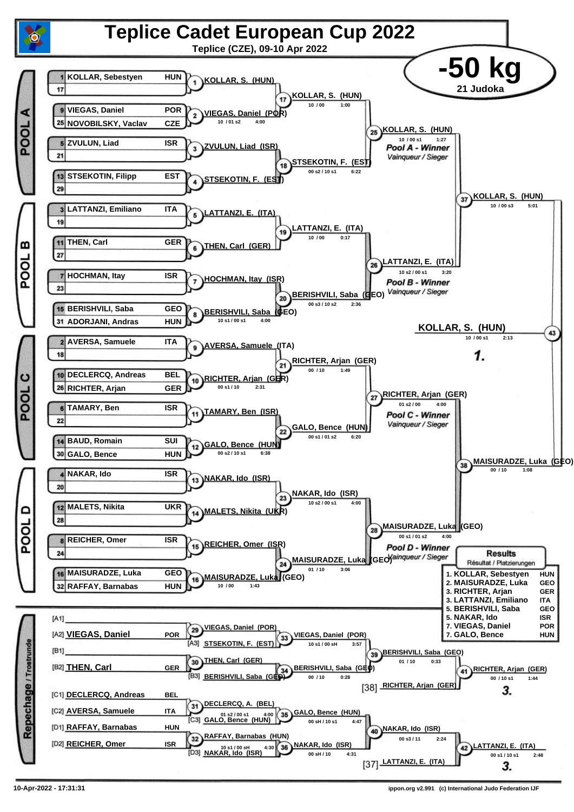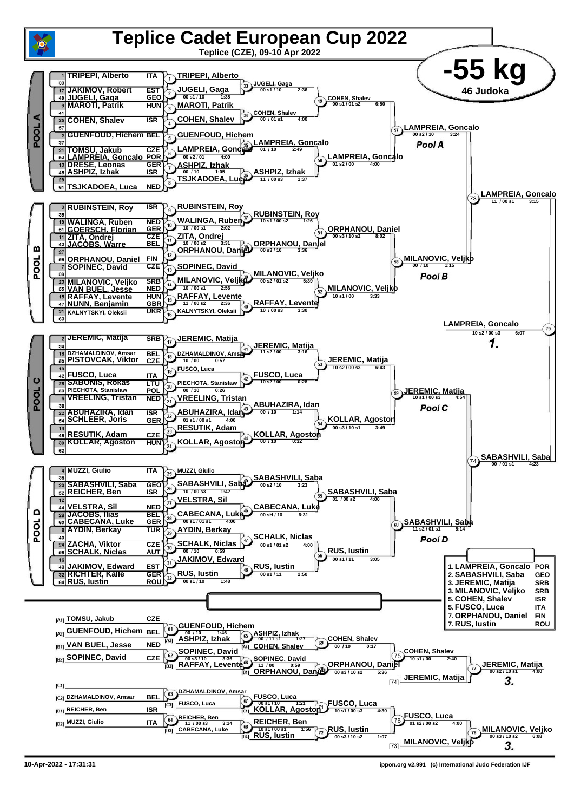

**<sup>10-</sup>Apr-2022 - 17:31:31 ippon.org v2.991 (c) International Judo Federation IJF**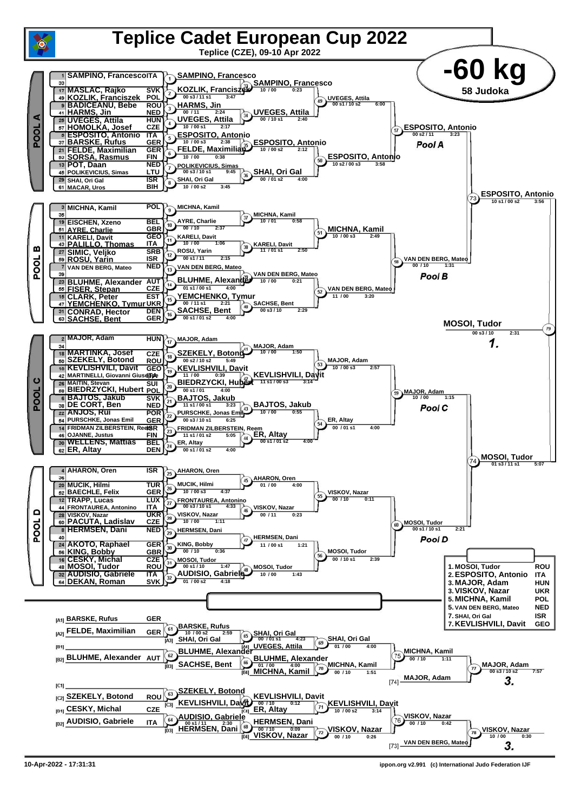

**10-Apr-2022 - 17:31:31 ippon.org v2.991 (c) International Judo Federation IJF**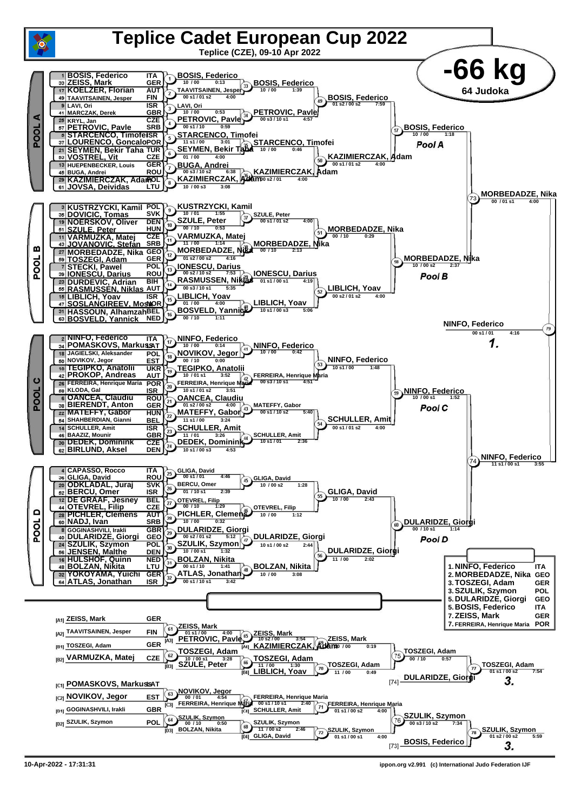

**<sup>10-</sup>Apr-2022 - 17:31:31 ippon.org v2.991 (c) International Judo Federation IJF**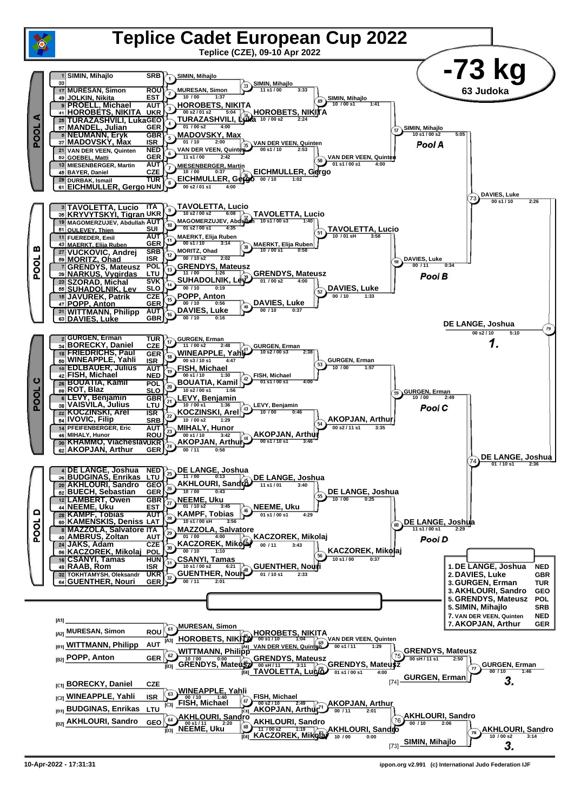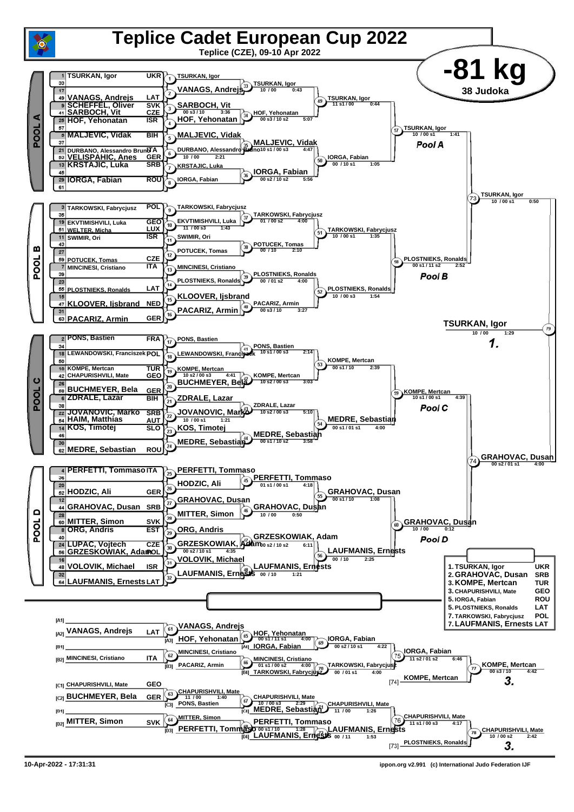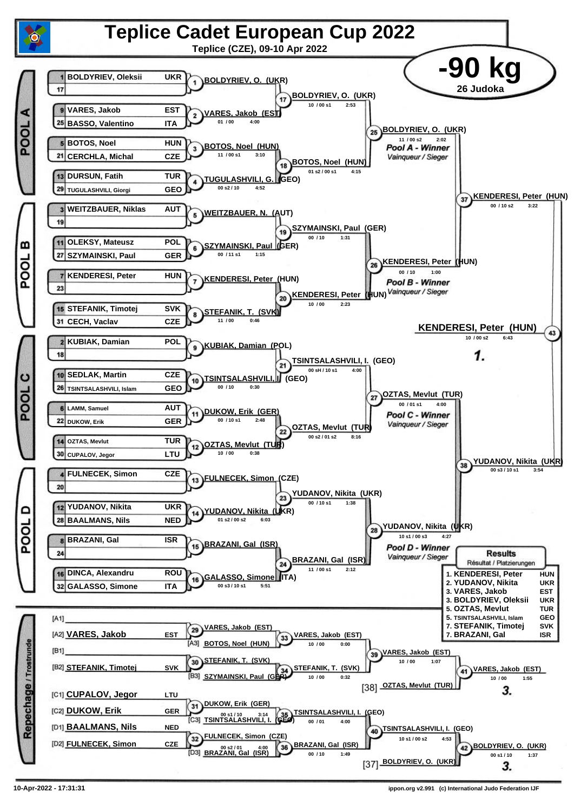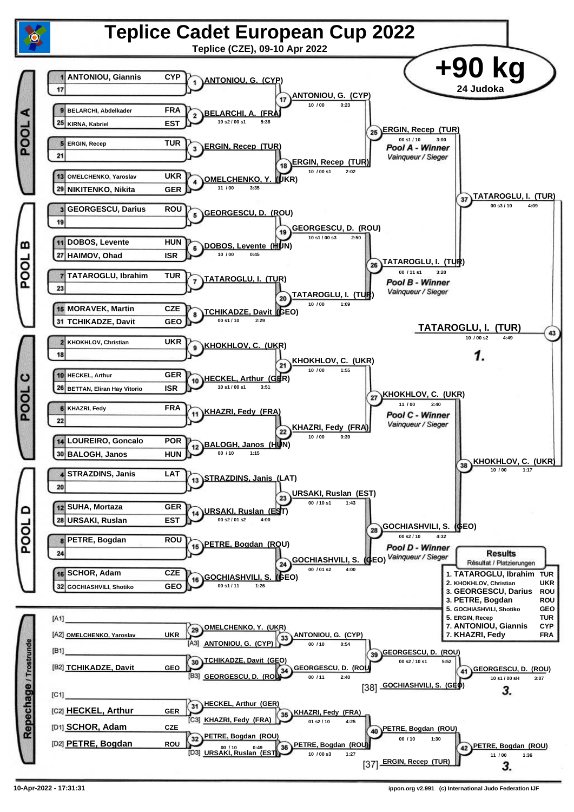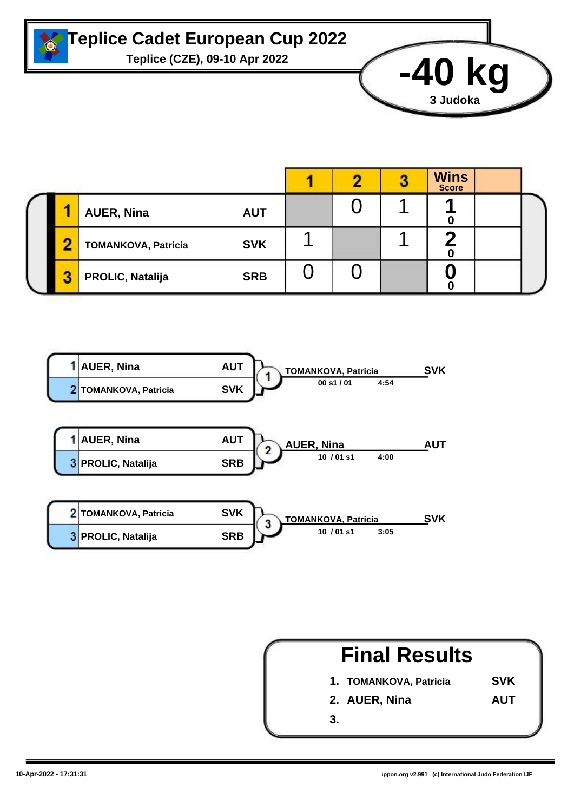

## **Teplice Cadet European Cup 2022**

**Teplice (CZE), 09-10 Apr 2022 -40 kg**

|    |                            |            |  | <b>Wins</b><br>Score |  |
|----|----------------------------|------------|--|----------------------|--|
|    | <b>AUER, Nina</b>          | <b>AUT</b> |  | и                    |  |
| г. | <b>TOMANKOVA, Patricia</b> | <b>SVK</b> |  |                      |  |
| ×. | <b>PROLIC, Natalija</b>    | <b>SRB</b> |  |                      |  |





**3 Judoka**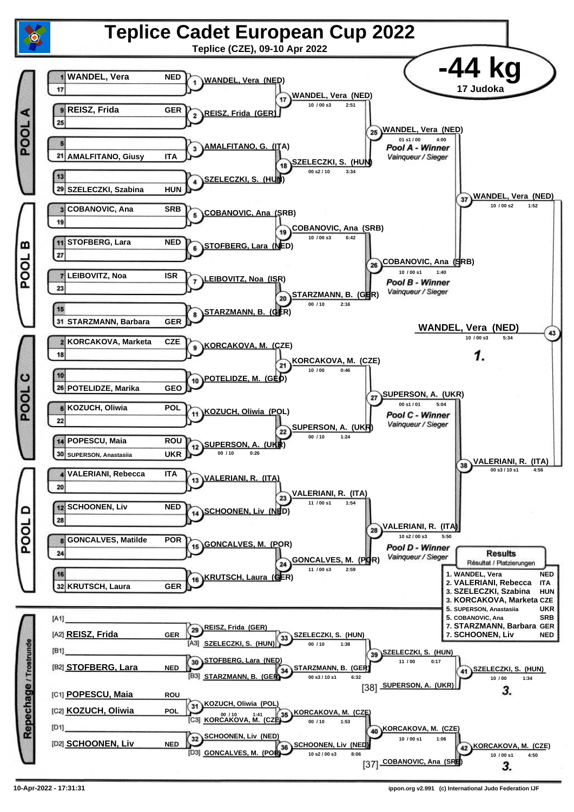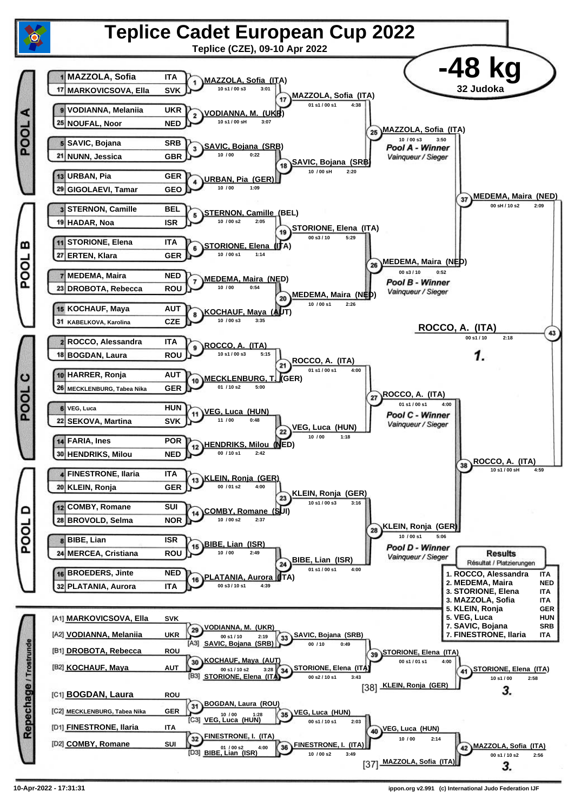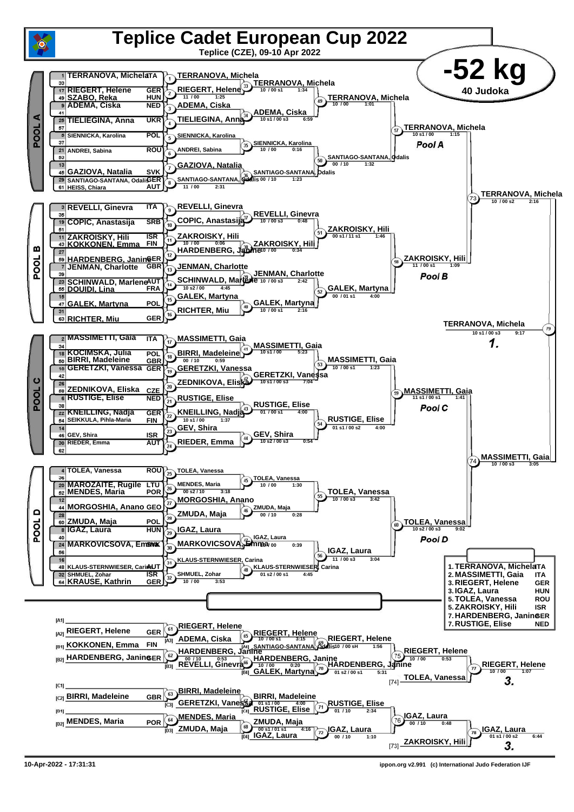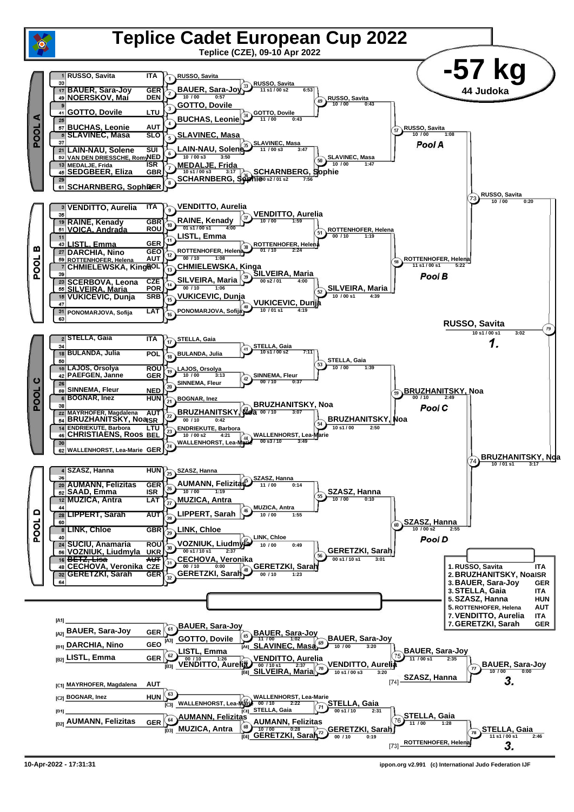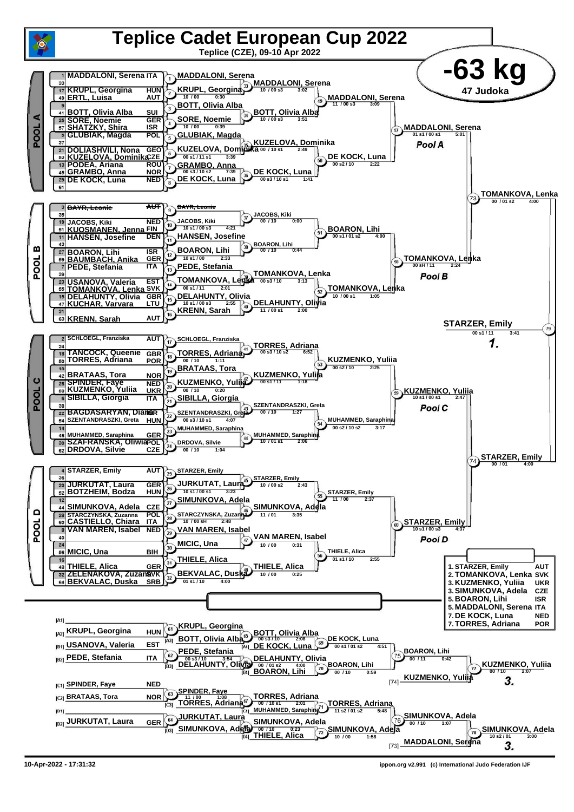

**<sup>10-</sup>Apr-2022 - 17:31:32 ippon.org v2.991 (c) International Judo Federation IJF**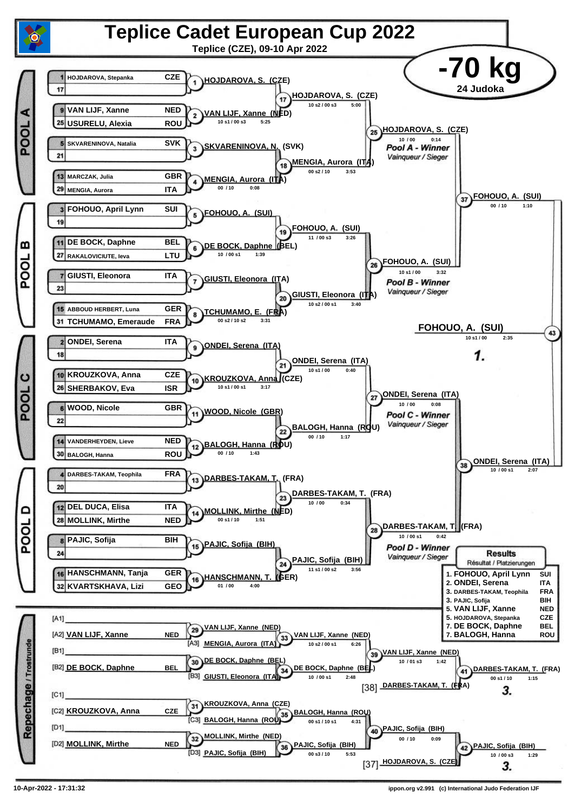